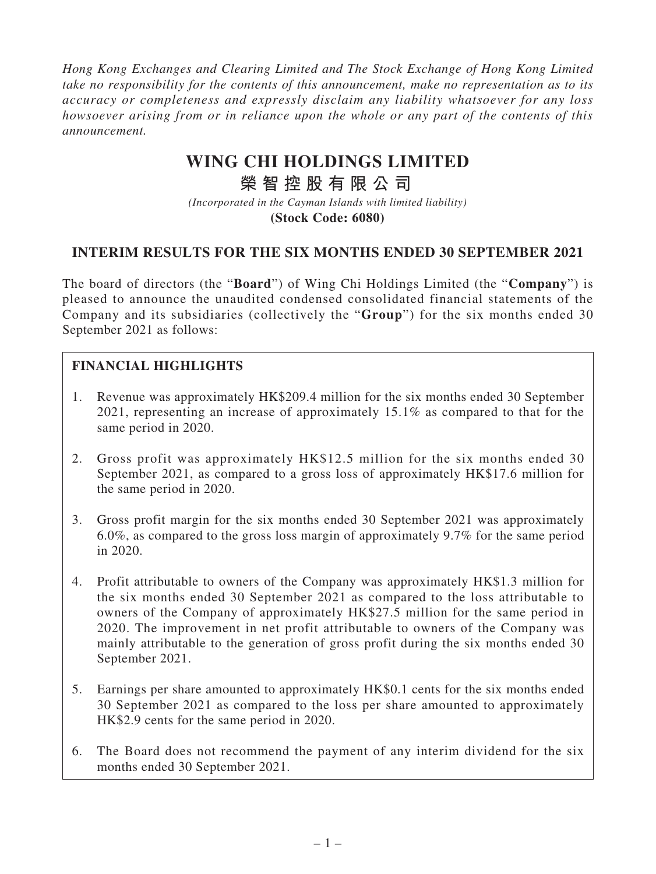*Hong Kong Exchanges and Clearing Limited and The Stock Exchange of Hong Kong Limited take no responsibility for the contents of this announcement, make no representation as to its accuracy or completeness and expressly disclaim any liability whatsoever for any loss howsoever arising from or in reliance upon the whole or any part of the contents of this announcement.*

# **WING CHI HOLDINGS LIMITED**

## **榮智控股有限公司**

*(Incorporated in the Cayman Islands with limited liability)* **(Stock Code: 6080)**

### **INTERIM RESULTS FOR THE SIX MONTHS ENDED 30 SEPTEMBER 2021**

The board of directors (the "**Board**") of Wing Chi Holdings Limited (the "**Company**") is pleased to announce the unaudited condensed consolidated financial statements of the Company and its subsidiaries (collectively the "**Group**") for the six months ended 30 September 2021 as follows:

### **FINANCIAL HIGHLIGHTS**

- 1. Revenue was approximately HK\$209.4 million for the six months ended 30 September 2021, representing an increase of approximately 15.1% as compared to that for the same period in 2020.
- 2. Gross profit was approximately HK\$12.5 million for the six months ended 30 September 2021, as compared to a gross loss of approximately HK\$17.6 million for the same period in 2020.
- 3. Gross profit margin for the six months ended 30 September 2021 was approximately 6.0%, as compared to the gross loss margin of approximately 9.7% for the same period in 2020.
- 4. Profit attributable to owners of the Company was approximately HK\$1.3 million for the six months ended 30 September 2021 as compared to the loss attributable to owners of the Company of approximately HK\$27.5 million for the same period in 2020. The improvement in net profit attributable to owners of the Company was mainly attributable to the generation of gross profit during the six months ended 30 September 2021.
- 5. Earnings per share amounted to approximately HK\$0.1 cents for the six months ended 30 September 2021 as compared to the loss per share amounted to approximately HK\$2.9 cents for the same period in 2020.
- 6. The Board does not recommend the payment of any interim dividend for the six months ended 30 September 2021.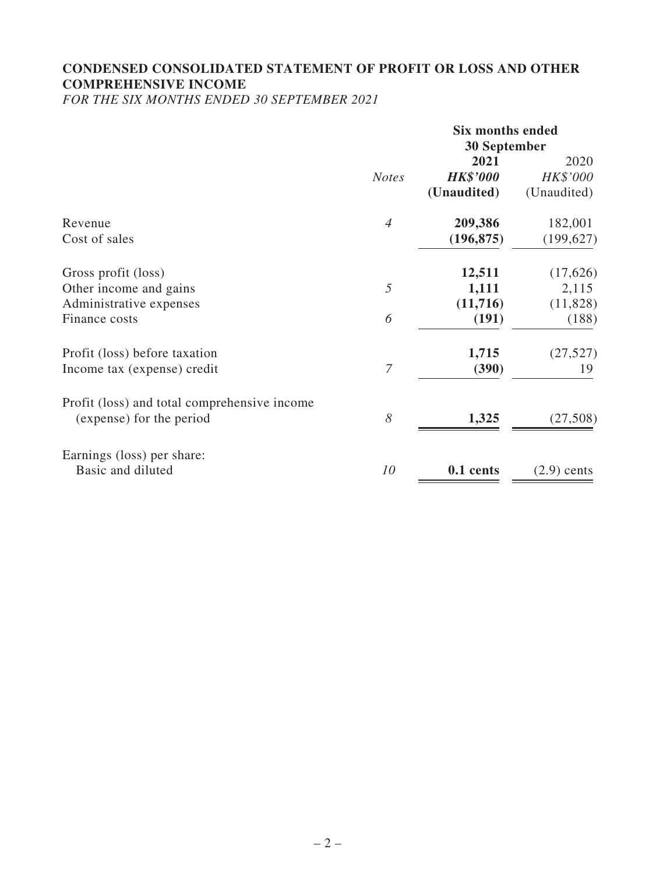### **CONDENSED CONSOLIDATED STATEMENT OF PROFIT OR LOSS AND OTHER COMPREHENSIVE INCOME**

*FOR THE SIX MONTHS ENDED 30 SEPTEMBER 2021*

|                                              |                | <b>Six months ended</b><br><b>30 September</b> |               |
|----------------------------------------------|----------------|------------------------------------------------|---------------|
|                                              |                | 2021                                           | 2020          |
|                                              | <b>Notes</b>   | <b>HK\$'000</b>                                | HK\$'000      |
|                                              |                | (Unaudited)                                    | (Unaudited)   |
| Revenue                                      | $\overline{4}$ | 209,386                                        | 182,001       |
| Cost of sales                                |                | (196, 875)                                     | (199, 627)    |
| Gross profit (loss)                          |                | 12,511                                         | (17,626)      |
| Other income and gains                       | 5              | 1,111                                          | 2,115         |
| Administrative expenses                      |                | (11,716)                                       | (11,828)      |
| Finance costs                                | 6              | (191)                                          | (188)         |
| Profit (loss) before taxation                |                | 1,715                                          | (27, 527)     |
| Income tax (expense) credit                  | 7              | (390)                                          | 19            |
| Profit (loss) and total comprehensive income |                |                                                |               |
| (expense) for the period                     | 8              | 1,325                                          | (27,508)      |
| Earnings (loss) per share:                   |                |                                                |               |
| Basic and diluted                            | 10             | 0.1 cents                                      | $(2.9)$ cents |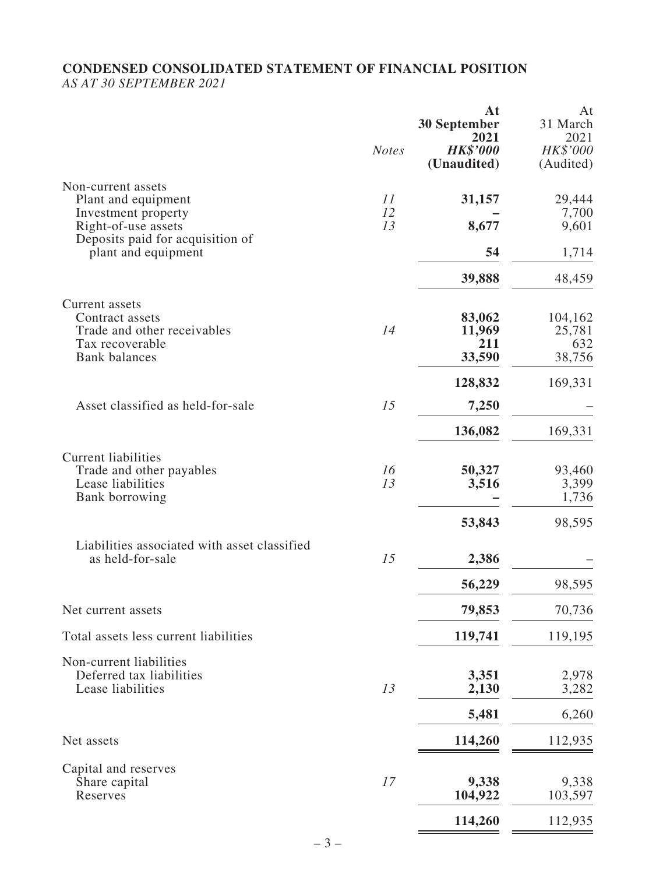#### **CONDENSED CONSOLIDATED STATEMENT OF FINANCIAL POSITION** *AS AT 30 SEPTEMBER 2021*

|                                                                  | <b>Notes</b> | At<br><b>30 September</b><br>2021<br><b>HK\$'000</b> | At<br>31 March<br>2021<br>HK\$'000 |
|------------------------------------------------------------------|--------------|------------------------------------------------------|------------------------------------|
|                                                                  |              | (Unaudited)                                          | (Audited)                          |
| Non-current assets<br>Plant and equipment                        | 11<br>12     | 31,157                                               | 29,444<br>7,700                    |
| Investment property<br>Right-of-use assets                       | 13           | 8,677                                                | 9,601                              |
| Deposits paid for acquisition of<br>plant and equipment          |              | 54                                                   | 1,714                              |
|                                                                  |              | 39,888                                               | 48,459                             |
| Current assets                                                   |              |                                                      |                                    |
| Contract assets<br>Trade and other receivables                   | 14           | 83,062<br>11,969                                     | 104,162<br>25,781                  |
| Tax recoverable                                                  |              | 211                                                  | 632                                |
| <b>Bank</b> balances                                             |              | 33,590                                               | 38,756                             |
|                                                                  |              | 128,832                                              | 169,331                            |
| Asset classified as held-for-sale                                | 15           | 7,250                                                |                                    |
|                                                                  |              | 136,082                                              | 169,331                            |
| <b>Current liabilities</b>                                       |              |                                                      |                                    |
| Trade and other payables<br>Lease liabilities                    | 16<br>13     | 50,327<br>3,516                                      | 93,460<br>3,399                    |
| Bank borrowing                                                   |              |                                                      | 1,736                              |
|                                                                  |              | 53,843                                               | 98,595                             |
| Liabilities associated with asset classified<br>as held-for-sale | 15           | 2,386                                                |                                    |
|                                                                  |              | 56,229                                               | 98,595                             |
| Net current assets                                               |              | 79,853                                               | 70,736                             |
| Total assets less current liabilities                            |              | 119,741                                              | 119,195                            |
| Non-current liabilities                                          |              |                                                      |                                    |
| Deferred tax liabilities<br>Lease liabilities                    | 13           | 3,351<br>2,130                                       | 2,978<br>3,282                     |
|                                                                  |              | 5,481                                                | 6,260                              |
| Net assets                                                       |              | 114,260                                              | 112,935                            |
|                                                                  |              |                                                      |                                    |
| Capital and reserves                                             |              |                                                      |                                    |
| Share capital<br>Reserves                                        | 17           | 9,338<br>104,922                                     | 9,338<br>103,597                   |
|                                                                  |              | 114,260                                              | 112,935                            |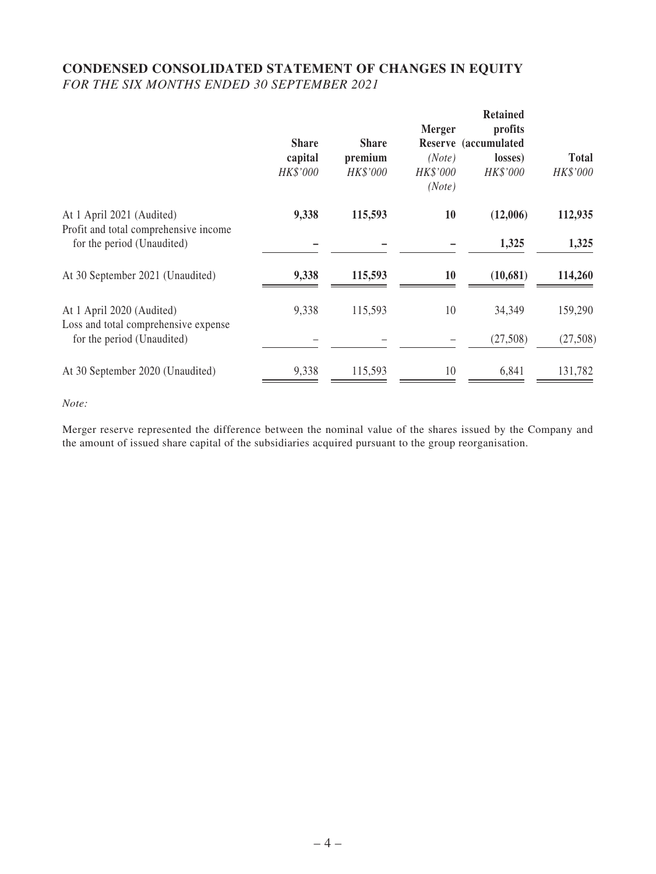### **CONDENSED CONSOLIDATED STATEMENT OF CHANGES IN EQUITY** *FOR THE SIX MONTHS ENDED 30 SEPTEMBER 2021*

|                                                                     | <b>Share</b><br>capital<br>HK\$'000 | <b>Share</b><br>premium<br>HK\$'000 | Merger<br>(Note)<br>HK\$'000<br>(Note) | <b>Retained</b><br>profits<br>Reserve (accumulated<br>losses)<br>HK\$'000 | <b>Total</b><br>HK\$'000 |
|---------------------------------------------------------------------|-------------------------------------|-------------------------------------|----------------------------------------|---------------------------------------------------------------------------|--------------------------|
| At 1 April 2021 (Audited)                                           | 9,338                               | 115,593                             | 10                                     | (12,006)                                                                  | 112,935                  |
| Profit and total comprehensive income<br>for the period (Unaudited) |                                     |                                     |                                        | 1,325                                                                     | 1,325                    |
| At 30 September 2021 (Unaudited)                                    | 9,338                               | 115,593                             | 10                                     | (10,681)                                                                  | 114,260                  |
| At 1 April 2020 (Audited)<br>Loss and total comprehensive expense   | 9,338                               | 115,593                             | 10                                     | 34,349                                                                    | 159,290                  |
| for the period (Unaudited)                                          |                                     |                                     |                                        | (27,508)                                                                  | (27,508)                 |
| At 30 September 2020 (Unaudited)                                    | 9,338                               | 115,593                             | 10                                     | 6,841                                                                     | 131,782                  |

*Note:*

Merger reserve represented the difference between the nominal value of the shares issued by the Company and the amount of issued share capital of the subsidiaries acquired pursuant to the group reorganisation.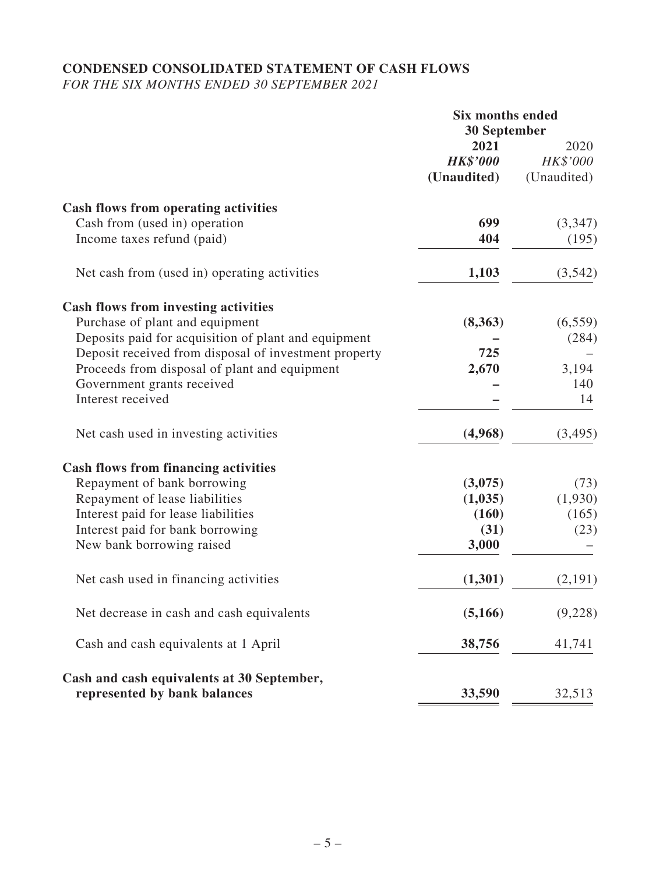# **CONDENSED CONSOLIDATED STATEMENT OF CASH FLOWS**

*FOR THE SIX MONTHS ENDED 30 SEPTEMBER 2021*

|                                                       | <b>Six months ended</b> |             |
|-------------------------------------------------------|-------------------------|-------------|
|                                                       | <b>30 September</b>     |             |
|                                                       | 2021                    | 2020        |
|                                                       | <b>HK\$'000</b>         | HK\$'000    |
|                                                       | (Unaudited)             | (Unaudited) |
| <b>Cash flows from operating activities</b>           |                         |             |
| Cash from (used in) operation                         | 699                     | (3,347)     |
| Income taxes refund (paid)                            | 404                     | (195)       |
| Net cash from (used in) operating activities          | 1,103                   | (3,542)     |
| <b>Cash flows from investing activities</b>           |                         |             |
| Purchase of plant and equipment                       | (8,363)                 | (6, 559)    |
| Deposits paid for acquisition of plant and equipment  |                         | (284)       |
| Deposit received from disposal of investment property | 725                     |             |
| Proceeds from disposal of plant and equipment         | 2,670                   | 3,194       |
| Government grants received                            |                         | 140         |
| Interest received                                     |                         | 14          |
| Net cash used in investing activities                 | (4,968)                 | (3, 495)    |
| <b>Cash flows from financing activities</b>           |                         |             |
| Repayment of bank borrowing                           | (3,075)                 | (73)        |
| Repayment of lease liabilities                        | (1,035)                 | (1,930)     |
| Interest paid for lease liabilities                   | (160)                   | (165)       |
| Interest paid for bank borrowing                      | (31)                    | (23)        |
| New bank borrowing raised                             | 3,000                   |             |
| Net cash used in financing activities                 | (1,301)                 | (2,191)     |
| Net decrease in cash and cash equivalents             | (5,166)                 | (9,228)     |
| Cash and cash equivalents at 1 April                  | 38,756                  | 41,741      |
| Cash and cash equivalents at 30 September,            |                         |             |
| represented by bank balances                          | 33,590                  | 32,513      |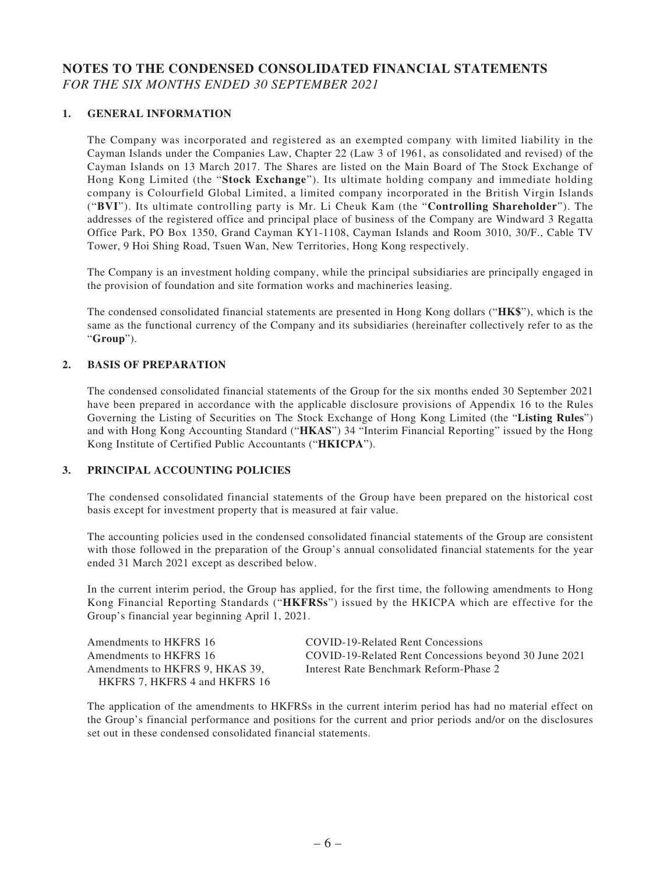### **NOTES TO THE CONDENSED CONSOLIDATED FINANCIAL STATEMENTS** *FOR THE SIX MONTHS ENDED 30 SEPTEMBER 2021*

#### **1. GENERAL INFORMATION**

The Company was incorporated and registered as an exempted company with limited liability in the Cayman Islands under the Companies Law, Chapter 22 (Law 3 of 1961, as consolidated and revised) of the Cayman Islands on 13 March 2017. The Shares are listed on the Main Board of The Stock Exchange of Hong Kong Limited (the "**Stock Exchange**"). Its ultimate holding company and immediate holding company is Colourfield Global Limited, a limited company incorporated in the British Virgin Islands ("**BVI**"). Its ultimate controlling party is Mr. Li Cheuk Kam (the "**Controlling Shareholder**"). The addresses of the registered office and principal place of business of the Company are Windward 3 Regatta Office Park, PO Box 1350, Grand Cayman KY1-1108, Cayman Islands and Room 3010, 30/F., Cable TV Tower, 9 Hoi Shing Road, Tsuen Wan, New Territories, Hong Kong respectively.

The Company is an investment holding company, while the principal subsidiaries are principally engaged in the provision of foundation and site formation works and machineries leasing.

The condensed consolidated financial statements are presented in Hong Kong dollars ("**HK\$**"), which is the same as the functional currency of the Company and its subsidiaries (hereinafter collectively refer to as the "**Group**").

#### **2. BASIS OF PREPARATION**

The condensed consolidated financial statements of the Group for the six months ended 30 September 2021 have been prepared in accordance with the applicable disclosure provisions of Appendix 16 to the Rules Governing the Listing of Securities on The Stock Exchange of Hong Kong Limited (the "**Listing Rules**") and with Hong Kong Accounting Standard ("**HKAS**") 34 "Interim Financial Reporting" issued by the Hong Kong Institute of Certified Public Accountants ("**HKICPA**").

#### **3. PRINCIPAL ACCOUNTING POLICIES**

The condensed consolidated financial statements of the Group have been prepared on the historical cost basis except for investment property that is measured at fair value.

The accounting policies used in the condensed consolidated financial statements of the Group are consistent with those followed in the preparation of the Group's annual consolidated financial statements for the year ended 31 March 2021 except as described below.

In the current interim period, the Group has applied, for the first time, the following amendments to Hong Kong Financial Reporting Standards ("**HKFRSs**") issued by the HKICPA which are effective for the Group's financial year beginning April 1, 2021.

| Amendments to HKFRS 16          | COVID-19-Related Rent Concessions                     |
|---------------------------------|-------------------------------------------------------|
| Amendments to HKFRS 16          | COVID-19-Related Rent Concessions beyond 30 June 2021 |
| Amendments to HKFRS 9, HKAS 39, | Interest Rate Benchmark Reform-Phase 2                |
| HKFRS 7, HKFRS 4 and HKFRS 16   |                                                       |

The application of the amendments to HKFRSs in the current interim period has had no material effect on the Group's financial performance and positions for the current and prior periods and/or on the disclosures set out in these condensed consolidated financial statements.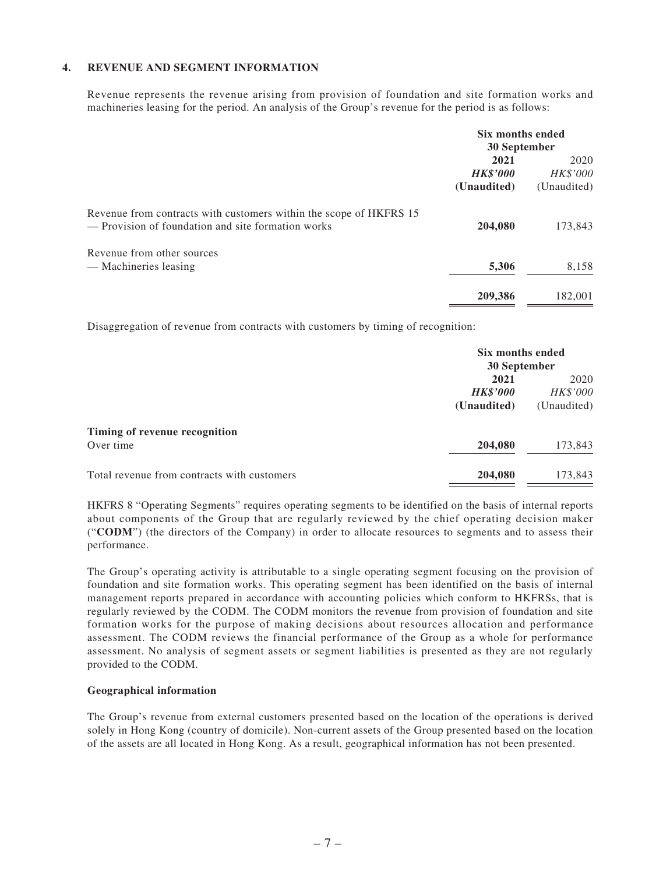#### **4. REVENUE AND SEGMENT INFORMATION**

Revenue represents the revenue arising from provision of foundation and site formation works and machineries leasing for the period. An analysis of the Group's revenue for the period is as follows:

|                                                                                                                          | Six months ended<br>30 September       |                                 |
|--------------------------------------------------------------------------------------------------------------------------|----------------------------------------|---------------------------------|
|                                                                                                                          | 2021<br><b>HK\$'000</b><br>(Unaudited) | 2020<br>HK\$'000<br>(Unaudited) |
| Revenue from contracts with customers within the scope of HKFRS 15<br>— Provision of foundation and site formation works | 204,080                                | 173,843                         |
| Revenue from other sources<br>— Machineries leasing                                                                      | 5,306                                  | 8,158                           |
|                                                                                                                          | 209,386                                | 182,001                         |

Disaggregation of revenue from contracts with customers by timing of recognition:

|                                             | Six months ended<br>30 September |             |
|---------------------------------------------|----------------------------------|-------------|
|                                             | 2021                             | 2020        |
|                                             | <b>HK\$'000</b>                  | HK\$'000    |
|                                             | (Unaudited)                      | (Unaudited) |
| Timing of revenue recognition               |                                  |             |
| Over time                                   | 204,080                          | 173,843     |
| Total revenue from contracts with customers | 204,080                          | 173,843     |

HKFRS 8 "Operating Segments" requires operating segments to be identified on the basis of internal reports about components of the Group that are regularly reviewed by the chief operating decision maker ("**CODM**") (the directors of the Company) in order to allocate resources to segments and to assess their performance.

The Group's operating activity is attributable to a single operating segment focusing on the provision of foundation and site formation works. This operating segment has been identified on the basis of internal management reports prepared in accordance with accounting policies which conform to HKFRSs, that is regularly reviewed by the CODM. The CODM monitors the revenue from provision of foundation and site formation works for the purpose of making decisions about resources allocation and performance assessment. The CODM reviews the financial performance of the Group as a whole for performance assessment. No analysis of segment assets or segment liabilities is presented as they are not regularly provided to the CODM.

#### **Geographical information**

The Group's revenue from external customers presented based on the location of the operations is derived solely in Hong Kong (country of domicile). Non-current assets of the Group presented based on the location of the assets are all located in Hong Kong. As a result, geographical information has not been presented.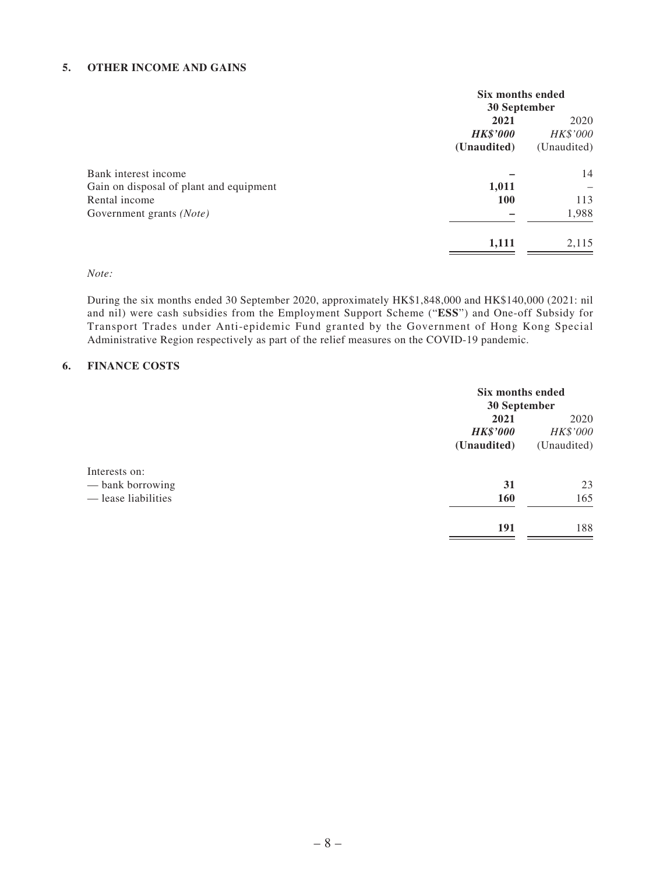#### **5. OTHER INCOME AND GAINS**

|                                         | Six months ended<br>30 September |             |
|-----------------------------------------|----------------------------------|-------------|
|                                         | 2021                             |             |
|                                         | <b>HK\$'000</b>                  | HK\$'000    |
|                                         | (Unaudited)                      | (Unaudited) |
| Bank interest income                    |                                  | 14          |
| Gain on disposal of plant and equipment | 1,011                            | -           |
| Rental income                           | <b>100</b>                       | 113         |
| Government grants (Note)                |                                  | 1,988       |
|                                         | 1,111                            | 2,115       |

#### *Note:*

During the six months ended 30 September 2020, approximately HK\$1,848,000 and HK\$140,000 (2021: nil and nil) were cash subsidies from the Employment Support Scheme ("**ESS**") and One-off Subsidy for Transport Trades under Anti-epidemic Fund granted by the Government of Hong Kong Special Administrative Region respectively as part of the relief measures on the COVID-19 pandemic.

#### **6. FINANCE COSTS**

|                     |                 | Six months ended<br>30 September |  |
|---------------------|-----------------|----------------------------------|--|
|                     | 2021            | 2020                             |  |
|                     | <b>HK\$'000</b> | HK\$'000                         |  |
|                     | (Unaudited)     | (Unaudited)                      |  |
| Interests on:       |                 |                                  |  |
| — bank borrowing    | 31              | 23                               |  |
| — lease liabilities | <b>160</b>      | 165                              |  |
|                     | 191             | 188                              |  |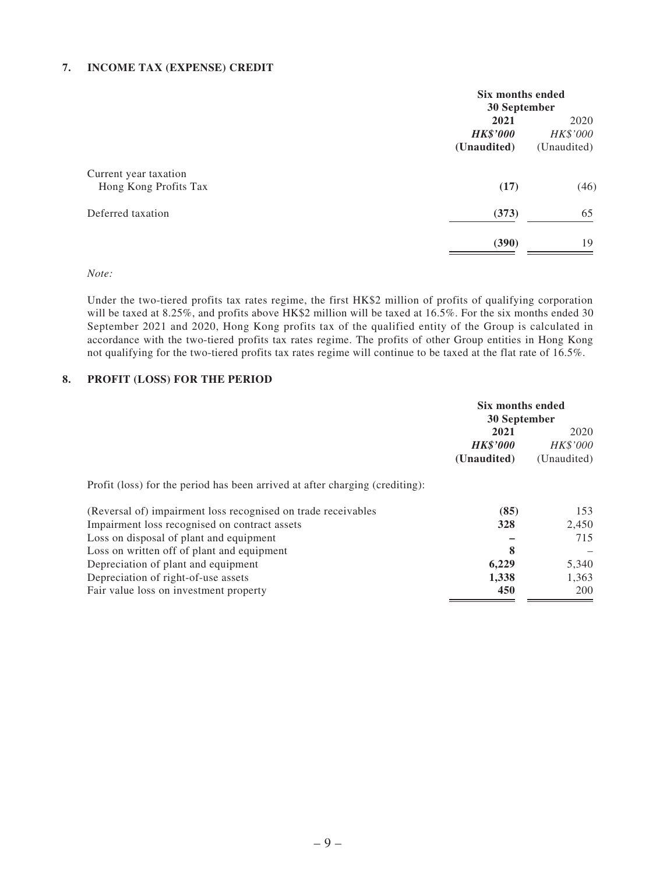#### **7. INCOME TAX (EXPENSE) CREDIT**

| Six months ended |             |
|------------------|-------------|
| 30 September     |             |
| 2021             |             |
| <b>HK\$'000</b>  | HK\$'000    |
| (Unaudited)      | (Unaudited) |
|                  |             |
| (17)             | (46)        |
| (373)            | 65          |
| (390)            | 19          |
|                  |             |

#### *Note:*

Under the two-tiered profits tax rates regime, the first HK\$2 million of profits of qualifying corporation will be taxed at 8.25%, and profits above HK\$2 million will be taxed at 16.5%. For the six months ended 30 September 2021 and 2020, Hong Kong profits tax of the qualified entity of the Group is calculated in accordance with the two-tiered profits tax rates regime. The profits of other Group entities in Hong Kong not qualifying for the two-tiered profits tax rates regime will continue to be taxed at the flat rate of 16.5%.

#### **8. PROFIT (LOSS) FOR THE PERIOD**

|                                                                              | Six months ended<br>30 September |                 |
|------------------------------------------------------------------------------|----------------------------------|-----------------|
|                                                                              | 2021<br>2020                     |                 |
|                                                                              | <b>HK\$'000</b>                  | <b>HK\$'000</b> |
|                                                                              | (Unaudited)                      | (Unaudited)     |
| Profit (loss) for the period has been arrived at after charging (crediting): |                                  |                 |
| (Reversal of) impairment loss recognised on trade receivables                | (85)                             | 153             |
| Impairment loss recognised on contract assets                                | 328                              | 2,450           |
| Loss on disposal of plant and equipment                                      |                                  | 715             |
| Loss on written off of plant and equipment                                   | 8                                |                 |
| Depreciation of plant and equipment                                          | 6,229                            | 5,340           |
| Depreciation of right-of-use assets                                          | 1,338                            | 1,363           |
| Fair value loss on investment property                                       | 450                              | 200             |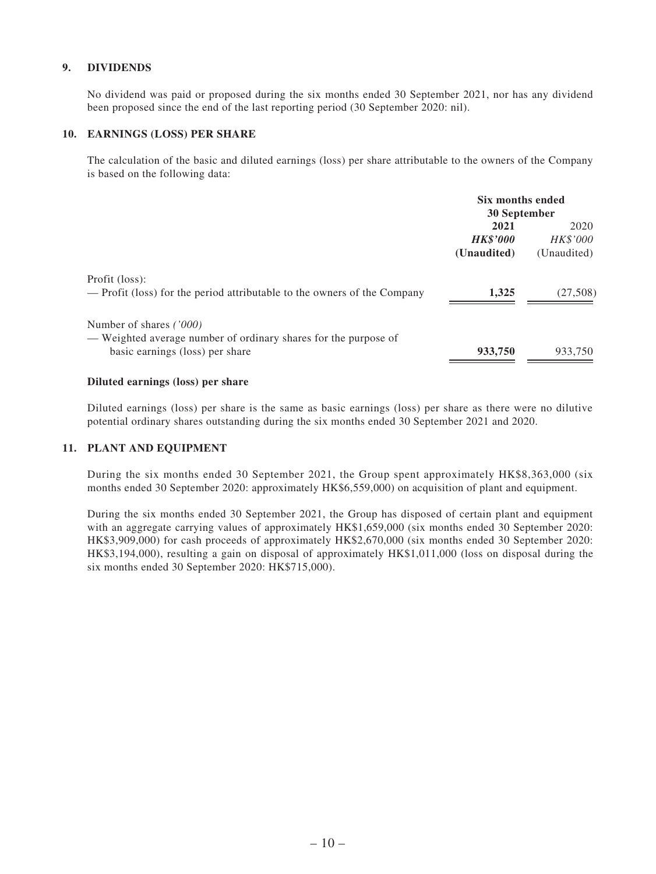#### **9. DIVIDENDS**

No dividend was paid or proposed during the six months ended 30 September 2021, nor has any dividend been proposed since the end of the last reporting period (30 September 2020: nil).

#### **10. EARNINGS (LOSS) PER SHARE**

The calculation of the basic and diluted earnings (loss) per share attributable to the owners of the Company is based on the following data:

|                                                                                                                               | Six months ended<br>30 September       |                                 |
|-------------------------------------------------------------------------------------------------------------------------------|----------------------------------------|---------------------------------|
|                                                                                                                               | 2021<br><b>HK\$'000</b><br>(Unaudited) | 2020<br>HK\$'000<br>(Unaudited) |
| Profit (loss):<br>— Profit (loss) for the period attributable to the owners of the Company                                    | 1.325                                  | (27,508)                        |
| Number of shares ('000)<br>— Weighted average number of ordinary shares for the purpose of<br>basic earnings (loss) per share | 933,750                                | 933,750                         |

#### **Diluted earnings (loss) per share**

Diluted earnings (loss) per share is the same as basic earnings (loss) per share as there were no dilutive potential ordinary shares outstanding during the six months ended 30 September 2021 and 2020.

#### **11. PLANT AND EQUIPMENT**

During the six months ended 30 September 2021, the Group spent approximately HK\$8,363,000 (six months ended 30 September 2020: approximately HK\$6,559,000) on acquisition of plant and equipment.

During the six months ended 30 September 2021, the Group has disposed of certain plant and equipment with an aggregate carrying values of approximately HK\$1,659,000 (six months ended 30 September 2020: HK\$3,909,000) for cash proceeds of approximately HK\$2,670,000 (six months ended 30 September 2020: HK\$3,194,000), resulting a gain on disposal of approximately HK\$1,011,000 (loss on disposal during the six months ended 30 September 2020: HK\$715,000).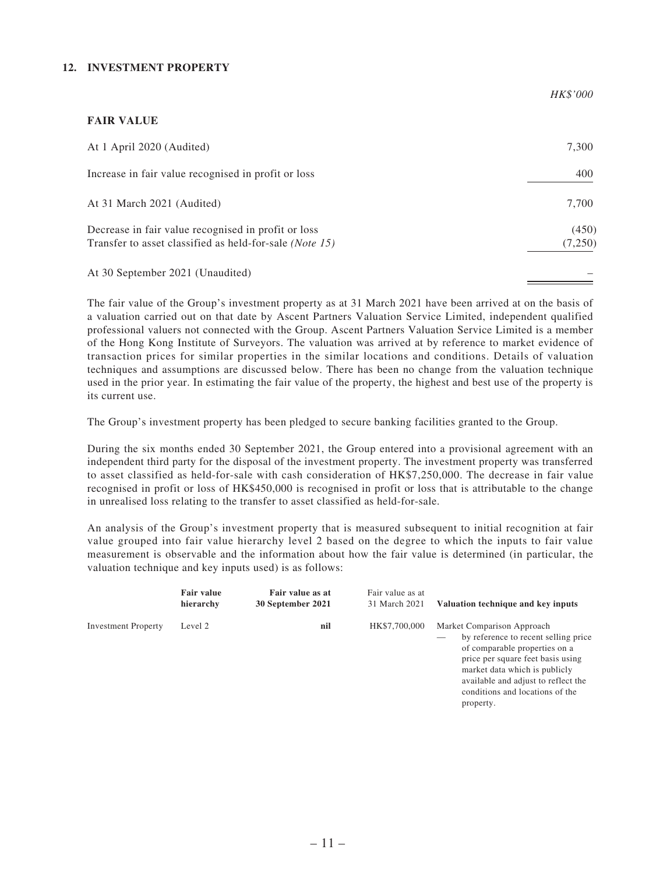#### **12. INVESTMENT PROPERTY**

|                                                                                                                         | HK\$'000         |
|-------------------------------------------------------------------------------------------------------------------------|------------------|
| <b>FAIR VALUE</b>                                                                                                       |                  |
| At 1 April 2020 (Audited)                                                                                               | 7,300            |
| Increase in fair value recognised in profit or loss                                                                     | 400              |
| At 31 March 2021 (Audited)                                                                                              | 7,700            |
| Decrease in fair value recognised in profit or loss<br>Transfer to asset classified as held-for-sale ( <i>Note 15</i> ) | (450)<br>(7,250) |
| At 30 September 2021 (Unaudited)                                                                                        |                  |

The fair value of the Group's investment property as at 31 March 2021 have been arrived at on the basis of a valuation carried out on that date by Ascent Partners Valuation Service Limited, independent qualified professional valuers not connected with the Group. Ascent Partners Valuation Service Limited is a member of the Hong Kong Institute of Surveyors. The valuation was arrived at by reference to market evidence of transaction prices for similar properties in the similar locations and conditions. Details of valuation techniques and assumptions are discussed below. There has been no change from the valuation technique used in the prior year. In estimating the fair value of the property, the highest and best use of the property is its current use.

The Group's investment property has been pledged to secure banking facilities granted to the Group.

During the six months ended 30 September 2021, the Group entered into a provisional agreement with an independent third party for the disposal of the investment property. The investment property was transferred to asset classified as held-for-sale with cash consideration of HK\$7,250,000. The decrease in fair value recognised in profit or loss of HK\$450,000 is recognised in profit or loss that is attributable to the change in unrealised loss relating to the transfer to asset classified as held-for-sale.

An analysis of the Group's investment property that is measured subsequent to initial recognition at fair value grouped into fair value hierarchy level 2 based on the degree to which the inputs to fair value measurement is observable and the information about how the fair value is determined (in particular, the valuation technique and key inputs used) is as follows:

|                            | <b>Fair value</b><br>hierarchy | Fair value as at<br>30 September 2021 | Fair value as at<br>31 March 2021 | Valuation technique and key inputs                                                                                                                                                                                                                               |
|----------------------------|--------------------------------|---------------------------------------|-----------------------------------|------------------------------------------------------------------------------------------------------------------------------------------------------------------------------------------------------------------------------------------------------------------|
| <b>Investment Property</b> | Level 2                        | nil                                   | HK\$7,700,000                     | Market Comparison Approach<br>by reference to recent selling price<br>of comparable properties on a<br>price per square feet basis using<br>market data which is publicly<br>available and adjust to reflect the<br>conditions and locations of the<br>property. |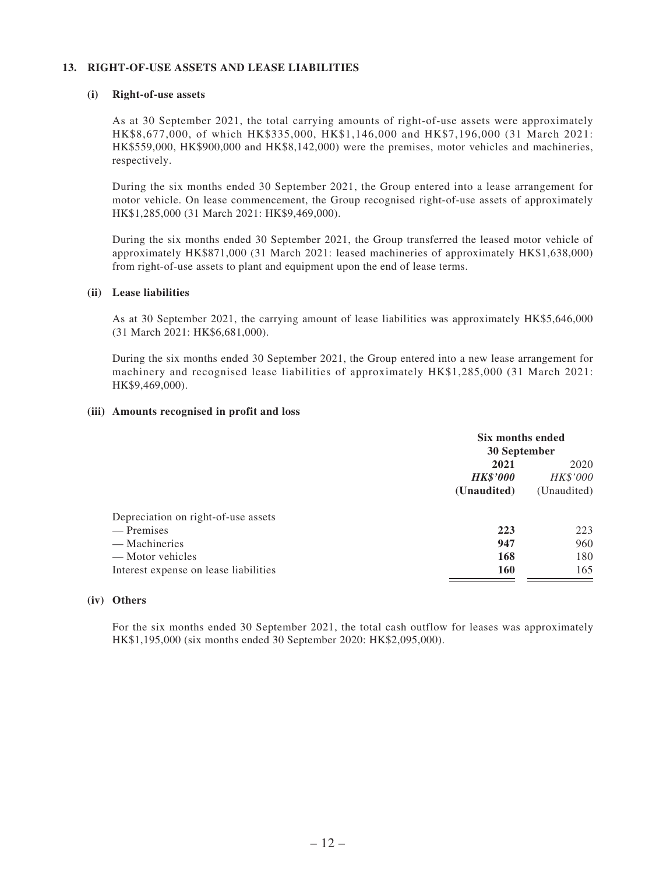#### **13. RIGHT-OF-USE ASSETS AND LEASE LIABILITIES**

#### **(i) Right-of-use assets**

As at 30 September 2021, the total carrying amounts of right-of-use assets were approximately HK\$8,677,000, of which HK\$335,000, HK\$1,146,000 and HK\$7,196,000 (31 March 2021: HK\$559,000, HK\$900,000 and HK\$8,142,000) were the premises, motor vehicles and machineries, respectively.

During the six months ended 30 September 2021, the Group entered into a lease arrangement for motor vehicle. On lease commencement, the Group recognised right-of-use assets of approximately HK\$1,285,000 (31 March 2021: HK\$9,469,000).

During the six months ended 30 September 2021, the Group transferred the leased motor vehicle of approximately HK\$871,000 (31 March 2021: leased machineries of approximately HK\$1,638,000) from right-of-use assets to plant and equipment upon the end of lease terms.

#### **(ii) Lease liabilities**

As at 30 September 2021, the carrying amount of lease liabilities was approximately HK\$5,646,000 (31 March 2021: HK\$6,681,000).

During the six months ended 30 September 2021, the Group entered into a new lease arrangement for machinery and recognised lease liabilities of approximately HK\$1,285,000 (31 March 2021: HK\$9,469,000).

#### **(iii) Amounts recognised in profit and loss**

|                                       |                                        | Six months ended<br>30 September |  |  |
|---------------------------------------|----------------------------------------|----------------------------------|--|--|
|                                       | 2021<br><b>HK\$'000</b><br>(Unaudited) | 2020<br>HK\$'000<br>(Unaudited)  |  |  |
| Depreciation on right-of-use assets   |                                        |                                  |  |  |
| — Premises                            | 223                                    | 223                              |  |  |
| — Machineries                         | 947                                    | 960                              |  |  |
| — Motor vehicles                      | 168                                    | 180                              |  |  |
| Interest expense on lease liabilities | <b>160</b>                             | 165                              |  |  |

#### **(iv) Others**

For the six months ended 30 September 2021, the total cash outflow for leases was approximately HK\$1,195,000 (six months ended 30 September 2020: HK\$2,095,000).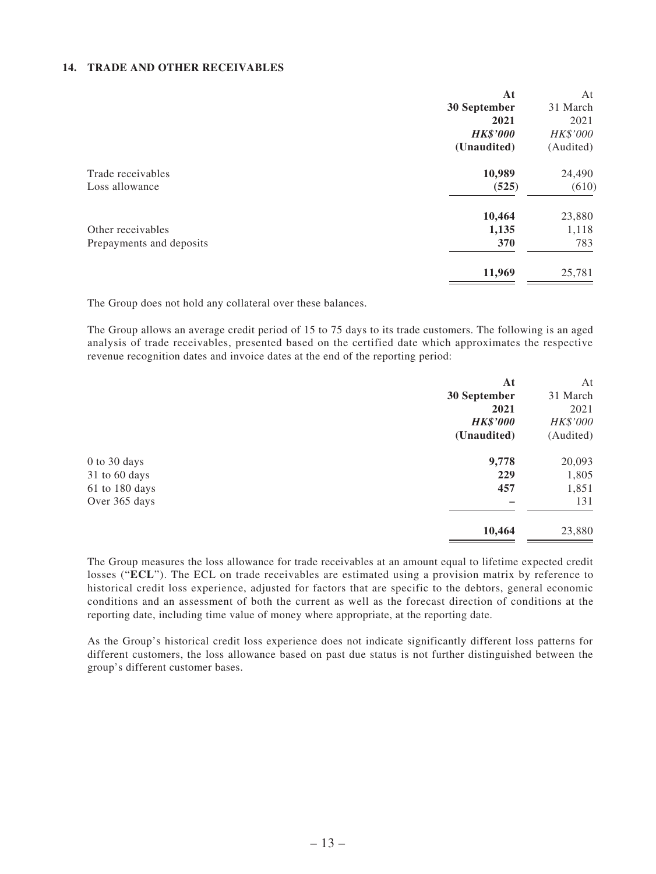#### **14. TRADE AND OTHER RECEIVABLES**

| At              | At        |
|-----------------|-----------|
| 30 September    | 31 March  |
| 2021            | 2021      |
| <b>HK\$'000</b> | HK\$'000  |
| (Unaudited)     | (Audited) |
| 10,989          | 24,490    |
| (525)           | (610)     |
|                 | 23,880    |
| 1,135           | 1,118     |
| 370             | 783       |
| 11,969          | 25,781    |
|                 | 10,464    |

The Group does not hold any collateral over these balances.

The Group allows an average credit period of 15 to 75 days to its trade customers. The following is an aged analysis of trade receivables, presented based on the certified date which approximates the respective revenue recognition dates and invoice dates at the end of the reporting period:

|                | At              | At        |
|----------------|-----------------|-----------|
|                | 30 September    | 31 March  |
|                | 2021            | 2021      |
|                | <b>HK\$'000</b> | HK\$'000  |
|                | (Unaudited)     | (Audited) |
| 0 to 30 days   | 9,778           | 20,093    |
| 31 to 60 days  | 229             | 1,805     |
| 61 to 180 days | 457             | 1,851     |
| Over 365 days  |                 | 131       |
|                | 10,464          | 23,880    |
|                |                 |           |

The Group measures the loss allowance for trade receivables at an amount equal to lifetime expected credit losses ("**ECL**"). The ECL on trade receivables are estimated using a provision matrix by reference to historical credit loss experience, adjusted for factors that are specific to the debtors, general economic conditions and an assessment of both the current as well as the forecast direction of conditions at the reporting date, including time value of money where appropriate, at the reporting date.

As the Group's historical credit loss experience does not indicate significantly different loss patterns for different customers, the loss allowance based on past due status is not further distinguished between the group's different customer bases.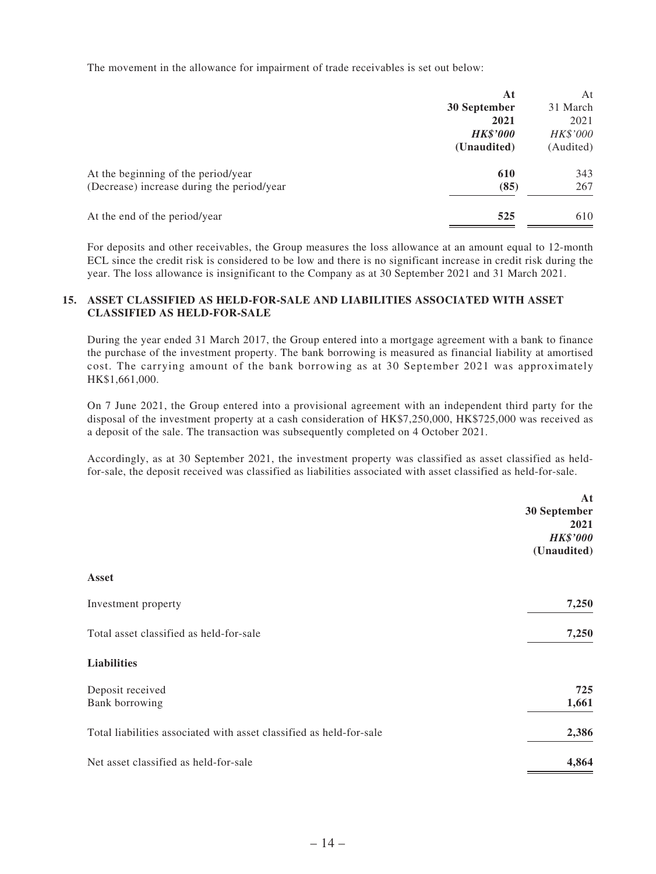The movement in the allowance for impairment of trade receivables is set out below:

|                                            | At              | At        |
|--------------------------------------------|-----------------|-----------|
|                                            | 30 September    | 31 March  |
|                                            | 2021            | 2021      |
|                                            | <b>HK\$'000</b> | HK\$'000  |
|                                            | (Unaudited)     | (Audited) |
| At the beginning of the period/year        | 610             | 343       |
| (Decrease) increase during the period/year | (85)            | 267       |
| At the end of the period/year              | 525             | 610       |
|                                            |                 |           |

For deposits and other receivables, the Group measures the loss allowance at an amount equal to 12-month ECL since the credit risk is considered to be low and there is no significant increase in credit risk during the year. The loss allowance is insignificant to the Company as at 30 September 2021 and 31 March 2021.

#### **15. ASSET CLASSIFIED AS HELD-FOR-SALE AND LIABILITIES ASSOCIATED WITH ASSET CLASSIFIED AS HELD-FOR-SALE**

During the year ended 31 March 2017, the Group entered into a mortgage agreement with a bank to finance the purchase of the investment property. The bank borrowing is measured as financial liability at amortised cost. The carrying amount of the bank borrowing as at 30 September 2021 was approximately HK\$1,661,000.

On 7 June 2021, the Group entered into a provisional agreement with an independent third party for the disposal of the investment property at a cash consideration of HK\$7,250,000, HK\$725,000 was received as a deposit of the sale. The transaction was subsequently completed on 4 October 2021.

Accordingly, as at 30 September 2021, the investment property was classified as asset classified as heldfor-sale, the deposit received was classified as liabilities associated with asset classified as held-for-sale.

|                                                                     | At              |
|---------------------------------------------------------------------|-----------------|
|                                                                     | 30 September    |
|                                                                     | 2021            |
|                                                                     | <b>HK\$'000</b> |
|                                                                     | (Unaudited)     |
| Asset                                                               |                 |
| Investment property                                                 | 7,250           |
| Total asset classified as held-for-sale                             | 7,250           |
| <b>Liabilities</b>                                                  |                 |
| Deposit received                                                    | 725             |
| Bank borrowing                                                      | 1,661           |
| Total liabilities associated with asset classified as held-for-sale | 2,386           |
| Net asset classified as held-for-sale                               | 4,864           |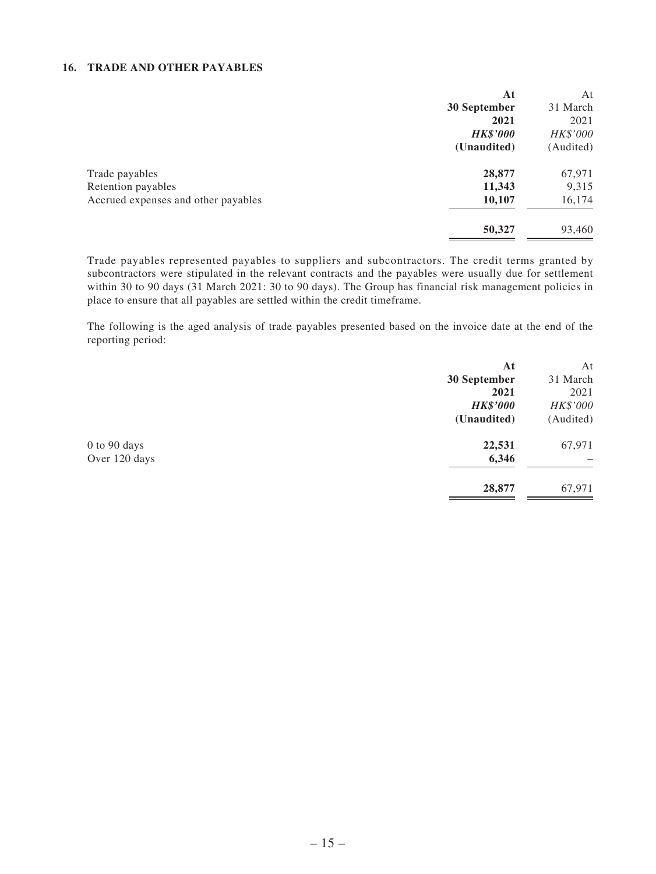#### **16. TRADE AND OTHER PAYABLES**

|                                     | At              | At        |
|-------------------------------------|-----------------|-----------|
|                                     | 30 September    | 31 March  |
|                                     | 2021            | 2021      |
|                                     | <b>HK\$'000</b> | HK\$'000  |
|                                     | (Unaudited)     | (Audited) |
| Trade payables                      | 28,877          | 67,971    |
| Retention payables                  | 11,343          | 9,315     |
| Accrued expenses and other payables | 10,107          | 16,174    |
|                                     | 50,327          | 93,460    |

Trade payables represented payables to suppliers and subcontractors. The credit terms granted by subcontractors were stipulated in the relevant contracts and the payables were usually due for settlement within 30 to 90 days (31 March 2021: 30 to 90 days). The Group has financial risk management policies in place to ensure that all payables are settled within the credit timeframe.

The following is the aged analysis of trade payables presented based on the invoice date at the end of the reporting period:

|               | At              | At        |
|---------------|-----------------|-----------|
|               | 30 September    | 31 March  |
|               | 2021            | 2021      |
|               | <b>HK\$'000</b> | HK\$'000  |
|               | (Unaudited)     | (Audited) |
| 0 to 90 days  | 22,531          | 67,971    |
| Over 120 days | 6,346           |           |
|               | 28,877          | 67,971    |
|               |                 |           |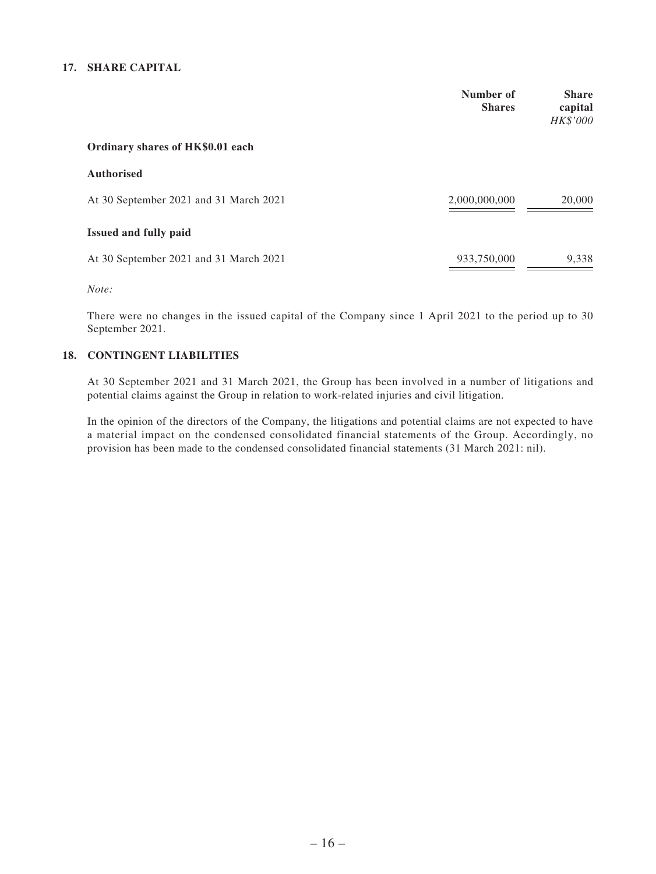#### **17. SHARE CAPITAL**

|                                        | Number of<br><b>Shares</b> | <b>Share</b><br>capital<br>HK\$'000 |
|----------------------------------------|----------------------------|-------------------------------------|
| Ordinary shares of HK\$0.01 each       |                            |                                     |
| <b>Authorised</b>                      |                            |                                     |
| At 30 September 2021 and 31 March 2021 | 2,000,000,000              | 20,000                              |
| <b>Issued and fully paid</b>           |                            |                                     |
| At 30 September 2021 and 31 March 2021 | 933,750,000                | 9,338                               |

*Note:*

There were no changes in the issued capital of the Company since 1 April 2021 to the period up to 30 September 2021.

#### **18. CONTINGENT LIABILITIES**

At 30 September 2021 and 31 March 2021, the Group has been involved in a number of litigations and potential claims against the Group in relation to work-related injuries and civil litigation.

In the opinion of the directors of the Company, the litigations and potential claims are not expected to have a material impact on the condensed consolidated financial statements of the Group. Accordingly, no provision has been made to the condensed consolidated financial statements (31 March 2021: nil).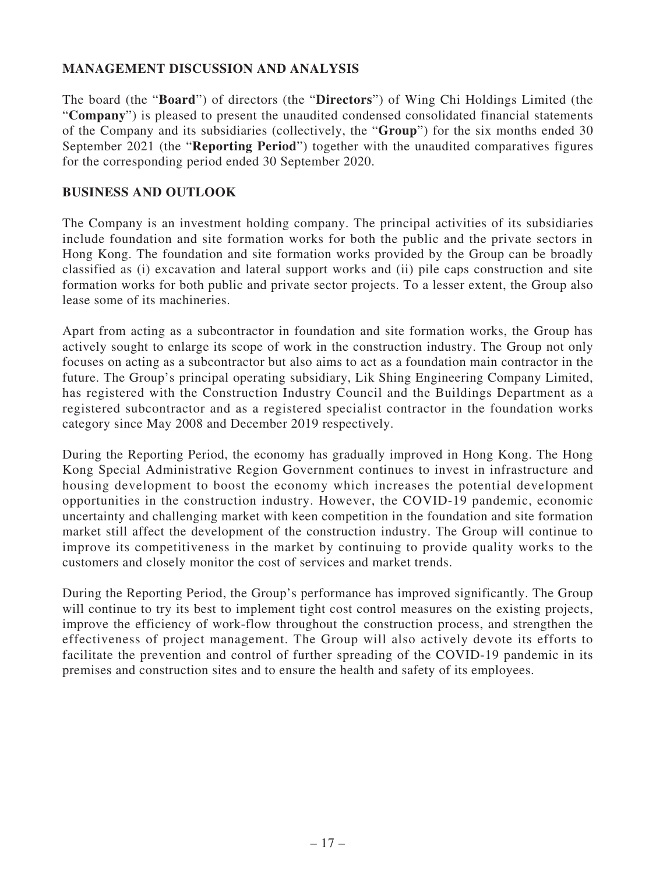### **MANAGEMENT DISCUSSION AND ANALYSIS**

The board (the "**Board**") of directors (the "**Directors**") of Wing Chi Holdings Limited (the "**Company**") is pleased to present the unaudited condensed consolidated financial statements of the Company and its subsidiaries (collectively, the "**Group**") for the six months ended 30 September 2021 (the "**Reporting Period**") together with the unaudited comparatives figures for the corresponding period ended 30 September 2020.

### **BUSINESS AND OUTLOOK**

The Company is an investment holding company. The principal activities of its subsidiaries include foundation and site formation works for both the public and the private sectors in Hong Kong. The foundation and site formation works provided by the Group can be broadly classified as (i) excavation and lateral support works and (ii) pile caps construction and site formation works for both public and private sector projects. To a lesser extent, the Group also lease some of its machineries.

Apart from acting as a subcontractor in foundation and site formation works, the Group has actively sought to enlarge its scope of work in the construction industry. The Group not only focuses on acting as a subcontractor but also aims to act as a foundation main contractor in the future. The Group's principal operating subsidiary, Lik Shing Engineering Company Limited, has registered with the Construction Industry Council and the Buildings Department as a registered subcontractor and as a registered specialist contractor in the foundation works category since May 2008 and December 2019 respectively.

During the Reporting Period, the economy has gradually improved in Hong Kong. The Hong Kong Special Administrative Region Government continues to invest in infrastructure and housing development to boost the economy which increases the potential development opportunities in the construction industry. However, the COVID-19 pandemic, economic uncertainty and challenging market with keen competition in the foundation and site formation market still affect the development of the construction industry. The Group will continue to improve its competitiveness in the market by continuing to provide quality works to the customers and closely monitor the cost of services and market trends.

During the Reporting Period, the Group's performance has improved significantly. The Group will continue to try its best to implement tight cost control measures on the existing projects, improve the efficiency of work-flow throughout the construction process, and strengthen the effectiveness of project management. The Group will also actively devote its efforts to facilitate the prevention and control of further spreading of the COVID-19 pandemic in its premises and construction sites and to ensure the health and safety of its employees.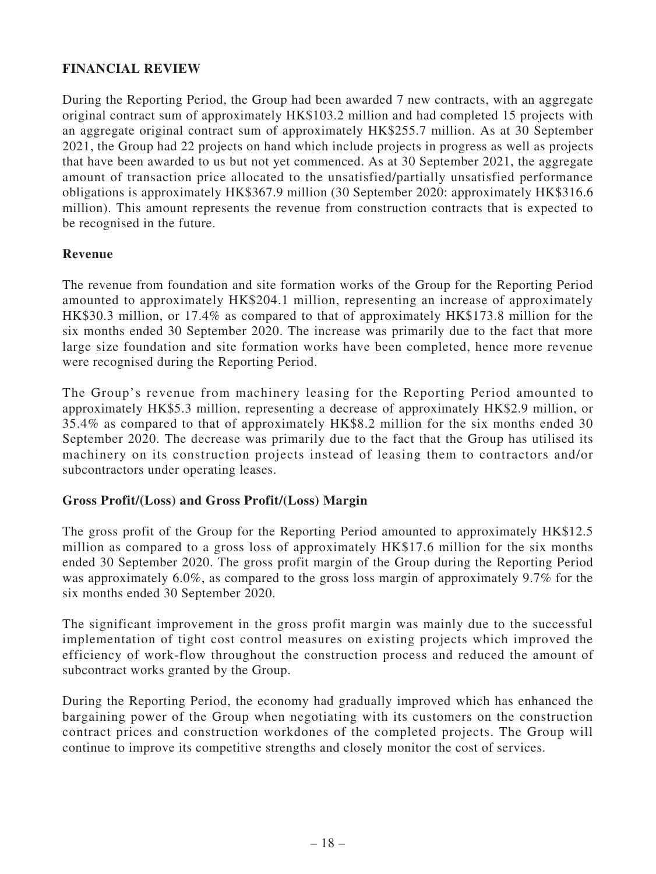### **FINANCIAL REVIEW**

During the Reporting Period, the Group had been awarded 7 new contracts, with an aggregate original contract sum of approximately HK\$103.2 million and had completed 15 projects with an aggregate original contract sum of approximately HK\$255.7 million. As at 30 September 2021, the Group had 22 projects on hand which include projects in progress as well as projects that have been awarded to us but not yet commenced. As at 30 September 2021, the aggregate amount of transaction price allocated to the unsatisfied/partially unsatisfied performance obligations is approximately HK\$367.9 million (30 September 2020: approximately HK\$316.6 million). This amount represents the revenue from construction contracts that is expected to be recognised in the future.

### **Revenue**

The revenue from foundation and site formation works of the Group for the Reporting Period amounted to approximately HK\$204.1 million, representing an increase of approximately HK\$30.3 million, or 17.4% as compared to that of approximately HK\$173.8 million for the six months ended 30 September 2020. The increase was primarily due to the fact that more large size foundation and site formation works have been completed, hence more revenue were recognised during the Reporting Period.

The Group's revenue from machinery leasing for the Reporting Period amounted to approximately HK\$5.3 million, representing a decrease of approximately HK\$2.9 million, or 35.4% as compared to that of approximately HK\$8.2 million for the six months ended 30 September 2020. The decrease was primarily due to the fact that the Group has utilised its machinery on its construction projects instead of leasing them to contractors and/or subcontractors under operating leases.

### **Gross Profit/(Loss) and Gross Profit/(Loss) Margin**

The gross profit of the Group for the Reporting Period amounted to approximately HK\$12.5 million as compared to a gross loss of approximately HK\$17.6 million for the six months ended 30 September 2020. The gross profit margin of the Group during the Reporting Period was approximately 6.0%, as compared to the gross loss margin of approximately 9.7% for the six months ended 30 September 2020.

The significant improvement in the gross profit margin was mainly due to the successful implementation of tight cost control measures on existing projects which improved the efficiency of work-flow throughout the construction process and reduced the amount of subcontract works granted by the Group.

During the Reporting Period, the economy had gradually improved which has enhanced the bargaining power of the Group when negotiating with its customers on the construction contract prices and construction workdones of the completed projects. The Group will continue to improve its competitive strengths and closely monitor the cost of services.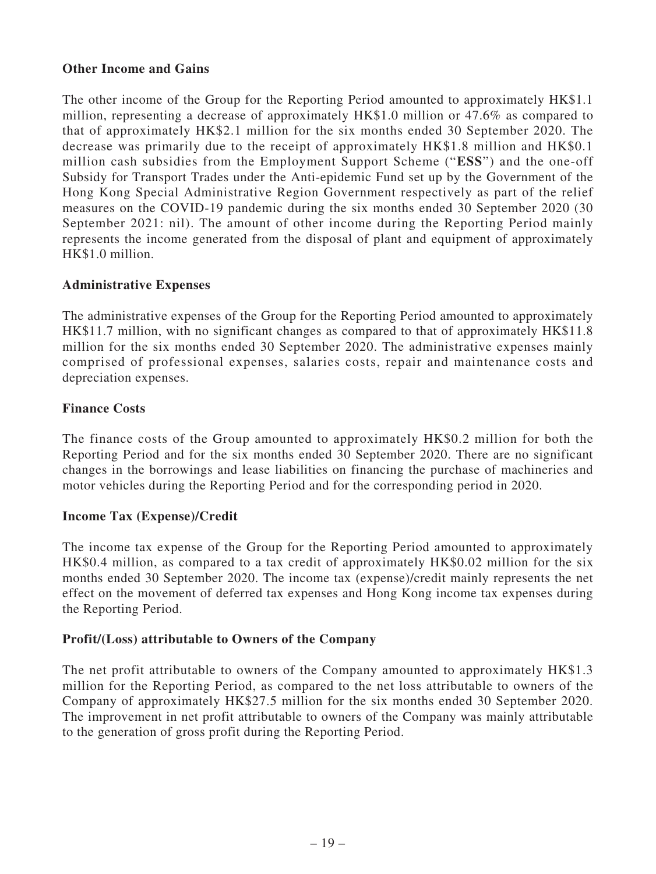### **Other Income and Gains**

The other income of the Group for the Reporting Period amounted to approximately HK\$1.1 million, representing a decrease of approximately HK\$1.0 million or 47.6% as compared to that of approximately HK\$2.1 million for the six months ended 30 September 2020. The decrease was primarily due to the receipt of approximately HK\$1.8 million and HK\$0.1 million cash subsidies from the Employment Support Scheme ("**ESS**") and the one-off Subsidy for Transport Trades under the Anti-epidemic Fund set up by the Government of the Hong Kong Special Administrative Region Government respectively as part of the relief measures on the COVID-19 pandemic during the six months ended 30 September 2020 (30 September 2021: nil). The amount of other income during the Reporting Period mainly represents the income generated from the disposal of plant and equipment of approximately HK\$1.0 million.

### **Administrative Expenses**

The administrative expenses of the Group for the Reporting Period amounted to approximately HK\$11.7 million, with no significant changes as compared to that of approximately HK\$11.8 million for the six months ended 30 September 2020. The administrative expenses mainly comprised of professional expenses, salaries costs, repair and maintenance costs and depreciation expenses.

### **Finance Costs**

The finance costs of the Group amounted to approximately HK\$0.2 million for both the Reporting Period and for the six months ended 30 September 2020. There are no significant changes in the borrowings and lease liabilities on financing the purchase of machineries and motor vehicles during the Reporting Period and for the corresponding period in 2020.

### **Income Tax (Expense)/Credit**

The income tax expense of the Group for the Reporting Period amounted to approximately HK\$0.4 million, as compared to a tax credit of approximately HK\$0.02 million for the six months ended 30 September 2020. The income tax (expense)/credit mainly represents the net effect on the movement of deferred tax expenses and Hong Kong income tax expenses during the Reporting Period.

### **Profit/(Loss) attributable to Owners of the Company**

The net profit attributable to owners of the Company amounted to approximately HK\$1.3 million for the Reporting Period, as compared to the net loss attributable to owners of the Company of approximately HK\$27.5 million for the six months ended 30 September 2020. The improvement in net profit attributable to owners of the Company was mainly attributable to the generation of gross profit during the Reporting Period.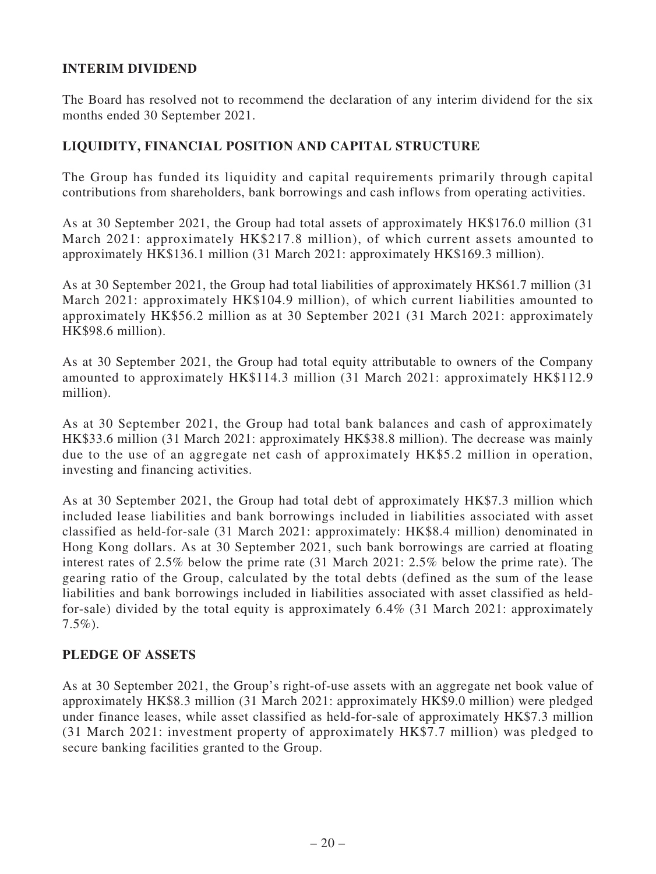### **INTERIM DIVIDEND**

The Board has resolved not to recommend the declaration of any interim dividend for the six months ended 30 September 2021.

### **LIQUIDITY, FINANCIAL POSITION AND CAPITAL STRUCTURE**

The Group has funded its liquidity and capital requirements primarily through capital contributions from shareholders, bank borrowings and cash inflows from operating activities.

As at 30 September 2021, the Group had total assets of approximately HK\$176.0 million (31 March 2021: approximately HK\$217.8 million), of which current assets amounted to approximately HK\$136.1 million (31 March 2021: approximately HK\$169.3 million).

As at 30 September 2021, the Group had total liabilities of approximately HK\$61.7 million (31 March 2021: approximately HK\$104.9 million), of which current liabilities amounted to approximately HK\$56.2 million as at 30 September 2021 (31 March 2021: approximately HK\$98.6 million).

As at 30 September 2021, the Group had total equity attributable to owners of the Company amounted to approximately HK\$114.3 million (31 March 2021: approximately HK\$112.9 million).

As at 30 September 2021, the Group had total bank balances and cash of approximately HK\$33.6 million (31 March 2021: approximately HK\$38.8 million). The decrease was mainly due to the use of an aggregate net cash of approximately HK\$5.2 million in operation, investing and financing activities.

As at 30 September 2021, the Group had total debt of approximately HK\$7.3 million which included lease liabilities and bank borrowings included in liabilities associated with asset classified as held-for-sale (31 March 2021: approximately: HK\$8.4 million) denominated in Hong Kong dollars. As at 30 September 2021, such bank borrowings are carried at floating interest rates of 2.5% below the prime rate (31 March 2021: 2.5% below the prime rate). The gearing ratio of the Group, calculated by the total debts (defined as the sum of the lease liabilities and bank borrowings included in liabilities associated with asset classified as heldfor-sale) divided by the total equity is approximately 6.4% (31 March 2021: approximately  $7.5\%$ ).

### **PLEDGE OF ASSETS**

As at 30 September 2021, the Group's right-of-use assets with an aggregate net book value of approximately HK\$8.3 million (31 March 2021: approximately HK\$9.0 million) were pledged under finance leases, while asset classified as held-for-sale of approximately HK\$7.3 million (31 March 2021: investment property of approximately HK\$7.7 million) was pledged to secure banking facilities granted to the Group.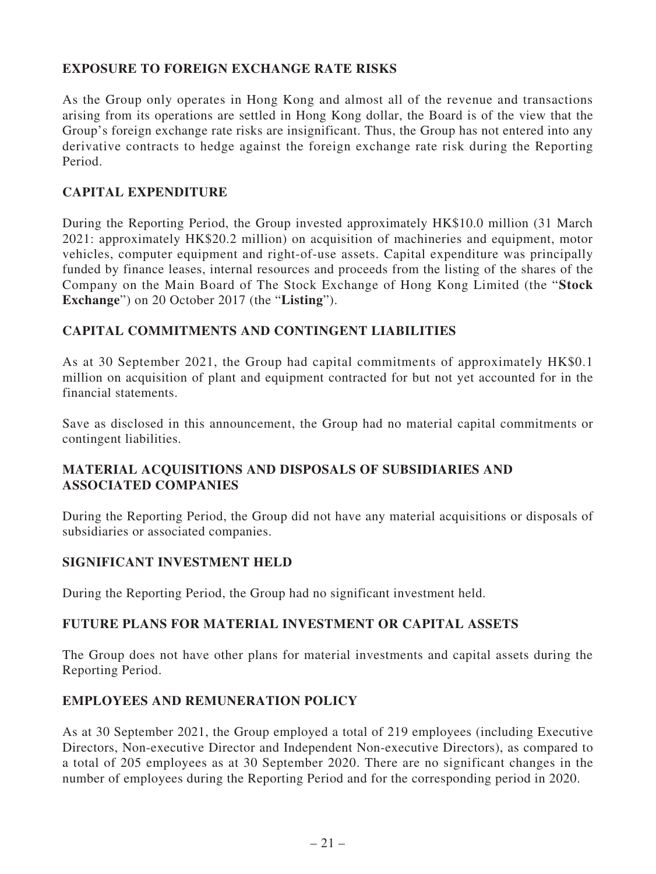### **EXPOSURE TO FOREIGN EXCHANGE RATE RISKS**

As the Group only operates in Hong Kong and almost all of the revenue and transactions arising from its operations are settled in Hong Kong dollar, the Board is of the view that the Group's foreign exchange rate risks are insignificant. Thus, the Group has not entered into any derivative contracts to hedge against the foreign exchange rate risk during the Reporting Period.

### **CAPITAL EXPENDITURE**

During the Reporting Period, the Group invested approximately HK\$10.0 million (31 March 2021: approximately HK\$20.2 million) on acquisition of machineries and equipment, motor vehicles, computer equipment and right-of-use assets. Capital expenditure was principally funded by finance leases, internal resources and proceeds from the listing of the shares of the Company on the Main Board of The Stock Exchange of Hong Kong Limited (the "**Stock Exchange**") on 20 October 2017 (the "**Listing**").

### **CAPITAL COMMITMENTS AND CONTINGENT LIABILITIES**

As at 30 September 2021, the Group had capital commitments of approximately HK\$0.1 million on acquisition of plant and equipment contracted for but not yet accounted for in the financial statements.

Save as disclosed in this announcement, the Group had no material capital commitments or contingent liabilities.

### **MATERIAL ACQUISITIONS AND DISPOSALS OF SUBSIDIARIES AND ASSOCIATED COMPANIES**

During the Reporting Period, the Group did not have any material acquisitions or disposals of subsidiaries or associated companies.

### **SIGNIFICANT INVESTMENT HELD**

During the Reporting Period, the Group had no significant investment held.

### **FUTURE PLANS FOR MATERIAL INVESTMENT OR CAPITAL ASSETS**

The Group does not have other plans for material investments and capital assets during the Reporting Period.

### **EMPLOYEES AND REMUNERATION POLICY**

As at 30 September 2021, the Group employed a total of 219 employees (including Executive Directors, Non-executive Director and Independent Non-executive Directors), as compared to a total of 205 employees as at 30 September 2020. There are no significant changes in the number of employees during the Reporting Period and for the corresponding period in 2020.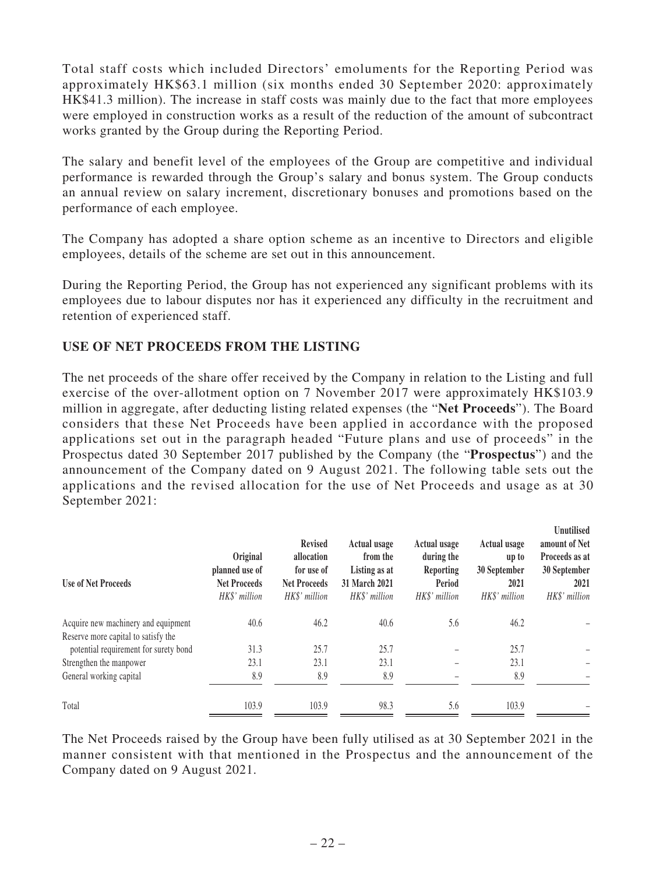Total staff costs which included Directors' emoluments for the Reporting Period was approximately HK\$63.1 million (six months ended 30 September 2020: approximately HK\$41.3 million). The increase in staff costs was mainly due to the fact that more employees were employed in construction works as a result of the reduction of the amount of subcontract works granted by the Group during the Reporting Period.

The salary and benefit level of the employees of the Group are competitive and individual performance is rewarded through the Group's salary and bonus system. The Group conducts an annual review on salary increment, discretionary bonuses and promotions based on the performance of each employee.

The Company has adopted a share option scheme as an incentive to Directors and eligible employees, details of the scheme are set out in this announcement.

During the Reporting Period, the Group has not experienced any significant problems with its employees due to labour disputes nor has it experienced any difficulty in the recruitment and retention of experienced staff.

### **USE OF NET PROCEEDS FROM THE LISTING**

The net proceeds of the share offer received by the Company in relation to the Listing and full exercise of the over-allotment option on 7 November 2017 were approximately HK\$103.9 million in aggregate, after deducting listing related expenses (the "**Net Proceeds**"). The Board considers that these Net Proceeds have been applied in accordance with the proposed applications set out in the paragraph headed "Future plans and use of proceeds" in the Prospectus dated 30 September 2017 published by the Company (the "**Prospectus**") and the announcement of the Company dated on 9 August 2021. The following table sets out the applications and the revised allocation for the use of Net Proceeds and usage as at 30 September 2021:

| <b>Use of Net Proceeds</b>            | Original<br>planned use of<br><b>Net Proceeds</b><br>HK\$' million | <b>Revised</b><br>allocation<br>for use of<br><b>Net Proceeds</b><br>HK\$' million | <b>Actual usage</b><br>from the<br>Listing as at<br>31 March 2021<br>HK\$' million | <b>Actual usage</b><br>during the<br>Reporting<br>Period<br>HK\$' million | Actual usage<br>up to<br>30 September<br>2021<br>HK\$' million | Unutilised<br>amount of Net<br>Proceeds as at<br>30 September<br>2021<br>HK\$' million |
|---------------------------------------|--------------------------------------------------------------------|------------------------------------------------------------------------------------|------------------------------------------------------------------------------------|---------------------------------------------------------------------------|----------------------------------------------------------------|----------------------------------------------------------------------------------------|
| Acquire new machinery and equipment   | 40.6                                                               | 46.2                                                                               | 40.6                                                                               | 5.6                                                                       | 46.2                                                           |                                                                                        |
| Reserve more capital to satisfy the   |                                                                    |                                                                                    |                                                                                    |                                                                           |                                                                |                                                                                        |
| potential requirement for surety bond | 31.3                                                               | 25.7                                                                               | 25.7                                                                               |                                                                           | 25.7                                                           |                                                                                        |
| Strengthen the manpower               | 23.1                                                               | 23.1                                                                               | 23.1                                                                               |                                                                           | 23.1                                                           |                                                                                        |
| General working capital               | 8.9                                                                | 8.9                                                                                | 8.9                                                                                |                                                                           | 8.9                                                            |                                                                                        |
| Total                                 | 103.9                                                              | 103.9                                                                              | 98.3                                                                               | 5.6                                                                       | 103.9                                                          |                                                                                        |

The Net Proceeds raised by the Group have been fully utilised as at 30 September 2021 in the manner consistent with that mentioned in the Prospectus and the announcement of the Company dated on 9 August 2021.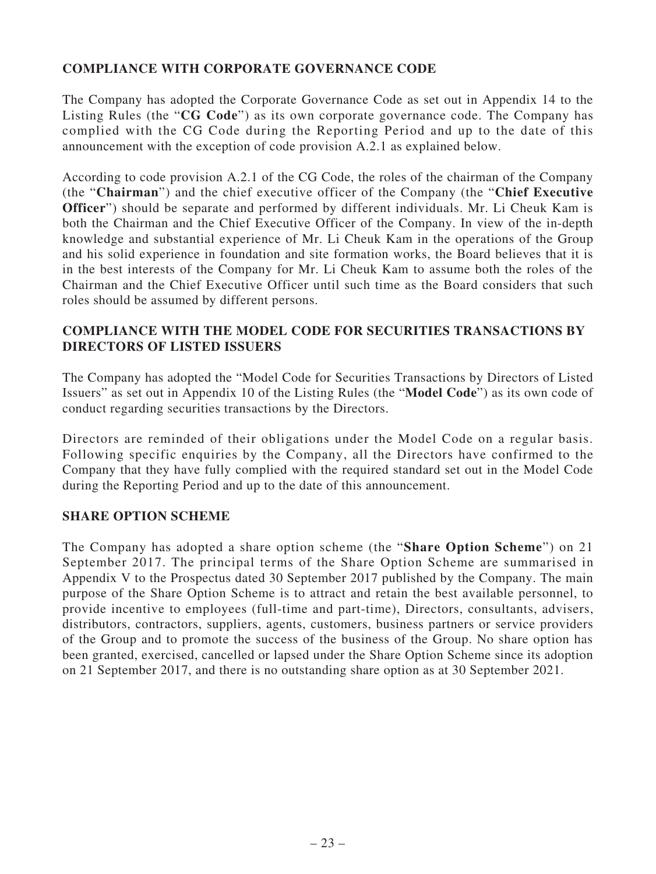### **COMPLIANCE WITH CORPORATE GOVERNANCE CODE**

The Company has adopted the Corporate Governance Code as set out in Appendix 14 to the Listing Rules (the "**CG Code**") as its own corporate governance code. The Company has complied with the CG Code during the Reporting Period and up to the date of this announcement with the exception of code provision A.2.1 as explained below.

According to code provision A.2.1 of the CG Code, the roles of the chairman of the Company (the "**Chairman**") and the chief executive officer of the Company (the "**Chief Executive Officer**") should be separate and performed by different individuals. Mr. Li Cheuk Kam is both the Chairman and the Chief Executive Officer of the Company. In view of the in-depth knowledge and substantial experience of Mr. Li Cheuk Kam in the operations of the Group and his solid experience in foundation and site formation works, the Board believes that it is in the best interests of the Company for Mr. Li Cheuk Kam to assume both the roles of the Chairman and the Chief Executive Officer until such time as the Board considers that such roles should be assumed by different persons.

### **COMPLIANCE WITH THE MODEL CODE FOR SECURITIES TRANSACTIONS BY DIRECTORS OF LISTED ISSUERS**

The Company has adopted the "Model Code for Securities Transactions by Directors of Listed Issuers" as set out in Appendix 10 of the Listing Rules (the "**Model Code**") as its own code of conduct regarding securities transactions by the Directors.

Directors are reminded of their obligations under the Model Code on a regular basis. Following specific enquiries by the Company, all the Directors have confirmed to the Company that they have fully complied with the required standard set out in the Model Code during the Reporting Period and up to the date of this announcement.

### **SHARE OPTION SCHEME**

The Company has adopted a share option scheme (the "**Share Option Scheme**") on 21 September 2017. The principal terms of the Share Option Scheme are summarised in Appendix V to the Prospectus dated 30 September 2017 published by the Company. The main purpose of the Share Option Scheme is to attract and retain the best available personnel, to provide incentive to employees (full-time and part-time), Directors, consultants, advisers, distributors, contractors, suppliers, agents, customers, business partners or service providers of the Group and to promote the success of the business of the Group. No share option has been granted, exercised, cancelled or lapsed under the Share Option Scheme since its adoption on 21 September 2017, and there is no outstanding share option as at 30 September 2021.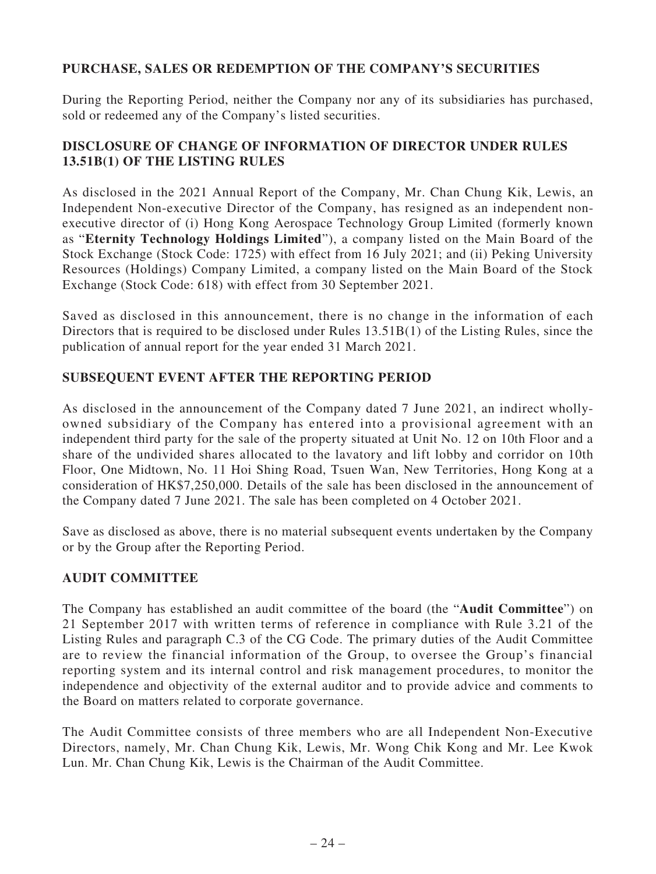### **PURCHASE, SALES OR REDEMPTION OF THE COMPANY'S SECURITIES**

During the Reporting Period, neither the Company nor any of its subsidiaries has purchased, sold or redeemed any of the Company's listed securities.

### **DISCLOSURE OF CHANGE OF INFORMATION OF DIRECTOR UNDER RULES 13.51B(1) OF THE LISTING RULES**

As disclosed in the 2021 Annual Report of the Company, Mr. Chan Chung Kik, Lewis, an Independent Non-executive Director of the Company, has resigned as an independent nonexecutive director of (i) Hong Kong Aerospace Technology Group Limited (formerly known as "**Eternity Technology Holdings Limited**"), a company listed on the Main Board of the Stock Exchange (Stock Code: 1725) with effect from 16 July 2021; and (ii) Peking University Resources (Holdings) Company Limited, a company listed on the Main Board of the Stock Exchange (Stock Code: 618) with effect from 30 September 2021.

Saved as disclosed in this announcement, there is no change in the information of each Directors that is required to be disclosed under Rules 13.51B(1) of the Listing Rules, since the publication of annual report for the year ended 31 March 2021.

### **SUBSEQUENT EVENT AFTER THE REPORTING PERIOD**

As disclosed in the announcement of the Company dated 7 June 2021, an indirect whollyowned subsidiary of the Company has entered into a provisional agreement with an independent third party for the sale of the property situated at Unit No. 12 on 10th Floor and a share of the undivided shares allocated to the lavatory and lift lobby and corridor on 10th Floor, One Midtown, No. 11 Hoi Shing Road, Tsuen Wan, New Territories, Hong Kong at a consideration of HK\$7,250,000. Details of the sale has been disclosed in the announcement of the Company dated 7 June 2021. The sale has been completed on 4 October 2021.

Save as disclosed as above, there is no material subsequent events undertaken by the Company or by the Group after the Reporting Period.

### **AUDIT COMMITTEE**

The Company has established an audit committee of the board (the "**Audit Committee**") on 21 September 2017 with written terms of reference in compliance with Rule 3.21 of the Listing Rules and paragraph C.3 of the CG Code. The primary duties of the Audit Committee are to review the financial information of the Group, to oversee the Group's financial reporting system and its internal control and risk management procedures, to monitor the independence and objectivity of the external auditor and to provide advice and comments to the Board on matters related to corporate governance.

The Audit Committee consists of three members who are all Independent Non-Executive Directors, namely, Mr. Chan Chung Kik, Lewis, Mr. Wong Chik Kong and Mr. Lee Kwok Lun. Mr. Chan Chung Kik, Lewis is the Chairman of the Audit Committee.